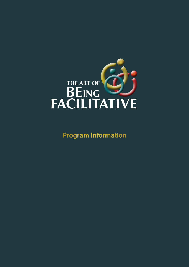

**Program Information**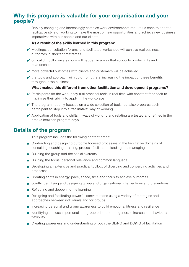# **Why this program is valuable for your organisation and your people?**

Rapidly changing and increasingly complex work environments require us each to adopt a facilitative style of working to make the most of new opportunities and achieve new business imperatives with our people and our clients

#### **As a result of the skills learned in this program:**

- $\vee$  Meetings, consultation forums and facilitated workshops will achieve real business outcomes in shorter timeframes
- $\checkmark$  critical difficult conversations will happen in a way that supports productivity and relationships
- $\checkmark$  more powerful outcomes with clients and customers will be achieved
- $\vee$  the tools and approach will rub off on others, increasing the impact of these benefits throughout the business

#### **What makes this different from other facilitation and development programs?**

- $\vee$  Participants do the work: they trial practical tools in real time with constant feedback to maximise their ability to apply in the workplace
- $\vee$  The program not only focuses on a wide selection of tools, but also prepares each participant to step into a "facilitative" way of working
- $\triangleright$  Application of tools and shifts in ways of working and relating are tested and refined in the breaks between program days

### **Details of the program**

This program includes the following content areas:

- Contracting and designing outcome focused processes in the facilitative domains of consulting, coaching, training, process facilitation, leading and managing
- Building the group and the social systems
- Building the focus, personal relevance and common language
- Developing an extensive and practical toolbox of diverging and converging activities and processes
- Creating shifts in energy, pace, space, time and focus to achieve outcomes
- Jointly identifying and designing group and organisational interventions and preventions
- Reflecting and deepening the learning
- Designing and facilitating powerful conversations using a variety of strategies and approaches between individuals and for groups
- Increasing personal and group awareness to build emotional fitness and resilience
- Identifying choices in personal and group orientation to generate increased behavioural flexibility
- Creating awareness and understanding of both the BEiNG and DOiNG of facilitation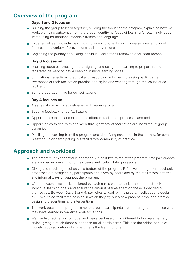# **Overview of the program**

#### **Days 1 and 2 focus on**

- Building the group to learn together, building the focus for the program, explaining how we work, clarifying outcomes from the group, identifying focus of learning for each individual, introducing foundational models / frames and language
- Experiential learning activities involving listening, orientation, conversations, emotional fitness, and a variety of preventions and interventions
- Beginning the journey of building individual Facilitation Frameworks for each person

#### **Day 3 focuses on**

- Learning about contracting and designing, and using that learning to prepare for cofacilitated delivery on day 4 keeping in mind learning styles
- Simulations, reflections, practical and resourcing activities increasing participants awareness of their facilitation practice and styles and working through the issues of cofacilitation
- Some preparation time for co-facilitations

#### **Day 4 focuses on**

- A series of co-facilitated deliveries with learning for all
- Specific feedback for co-facilitators
- Opportunities to see and experience different facilitation processes and tools
- Opportunities to deal with and work through 'fears' of facilitation around 'difficult' group dynamics
- Distilling the learning from the program and identifying next steps in the journey, for some it is setting up or participating in a facilitators' community of practice.

### **Approach and workload**

- The program is experiential in approach. At least two thirds of the program time participants are involved in presenting to their peers and co-facilitating sessions.
- Giving and receiving feedback is a feature of the program. Effective and rigorous feedback processes are designed by participants and given by peers and by the facilitators in formal and informal ways throughout the program.
- Work between sessions is designed by each participant to assist them to meet their individual learning goals and ensure the amount of time spent on these is decided by themselves. Between Days 3 and 4, participants work with a program colleague to design a 30-minute co-facilitated session in which they try out a new process / tool and practice designing preventions and interventions.
- The work outside the program is not onerous—participants are encouraged to practice what they have learned in real-time work situations
- We use two facilitators to model and make best use of two different but complementary styles, giving a much richer experience for all participants. This has the added bonus of modeling co-facilitation which heightens the learning for all.